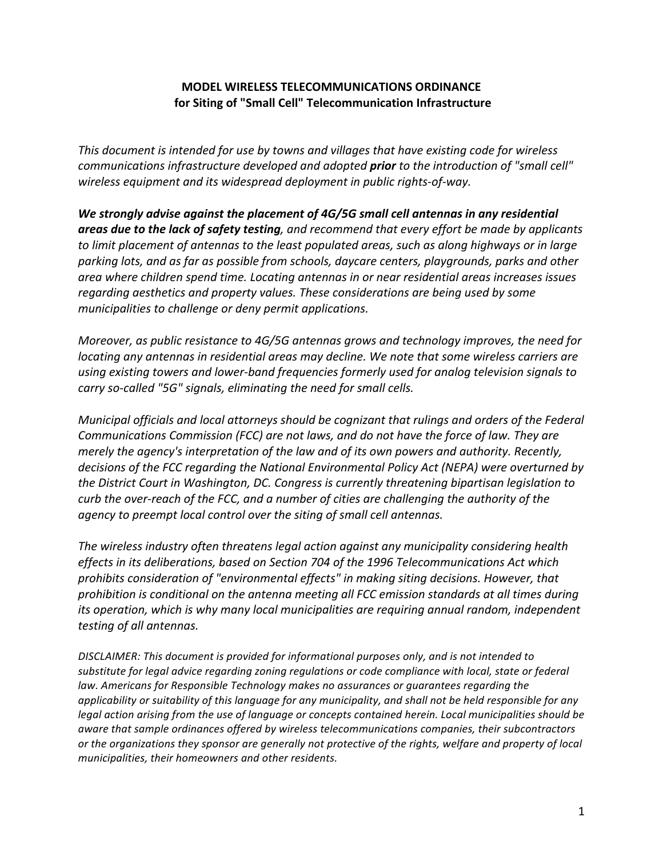# **MODEL WIRELESS TELECOMMUNICATIONS ORDINANCE for Siting of "Small Cell" Telecommunication Infrastructure**

This document is intended for use by towns and villages that have existing code for wireless *communications infrastructure developed and adopted prior to the introduction of "small cell" wireless equipment and its widespread deployment in public rights-of-way.* 

We strongly advise against the placement of 4G/5G small cell antennas in any residential *areas due* to the lack of safety testing, and recommend that every effort be made by applicants *to limit placement of antennas to the least populated areas, such as along highways or in large* parking lots, and as far as possible from schools, daycare centers, playgrounds, parks and other *area where children spend time. Locating antennas in or near residential areas increases issues regarding aesthetics* and *property* values. These considerations are being used by some *municipalities to challenge or deny permit applications.* 

*Moreover, as public resistance to 4G/5G antennas grows and technology improves, the need for locating any antennas in residential areas may decline. We note that some wireless carriers are* using existing towers and lower-band frequencies formerly used for analog television signals to *carry* so-called "5G" signals, eliminating the need for small cells.

*Municipal officials and local attorneys should be cognizant that rulings and orders of the Federal Communications Commission (FCC)* are not laws, and do not have the force of law. They are *merely the agency's interpretation of the law and of its own powers and authority. Recently,* decisions of the FCC regarding the National Environmental Policy Act (NEPA) were overturned by *the District Court in Washington, DC. Congress is currently threatening bipartisan legislation to curb* the over-reach of the FCC, and a number of cities are challenging the authority of the *agency to preempt local control over the siting of small cell antennas.*

The wireless industry often threatens legal action against any municipality considering health *effects* in its deliberations, based on Section 704 of the 1996 Telecommunications Act which prohibits consideration of "environmental effects" in making siting decisions. However, that *prohibition is conditional on the antenna meeting all FCC emission standards at all times during its* operation, which is why many local municipalities are requiring annual random, independent *testing of all antennas.*

*DISCLAIMER:* This document is provided for informational purposes only, and is not intended to substitute for legal advice regarding zoning regulations or code compliance with local, state or federal law. Americans for Responsible Technology makes no assurances or guarantees regarding the *applicability* or suitability of this language for any municipality, and shall not be held responsible for any *legal* action arising from the use of language or concepts contained herein. Local municipalities should be *aware that sample ordinances offered by wireless telecommunications companies, their subcontractors* or the organizations they sponsor are generally not protective of the rights, welfare and property of local *municipalities, their homeowners and other residents.*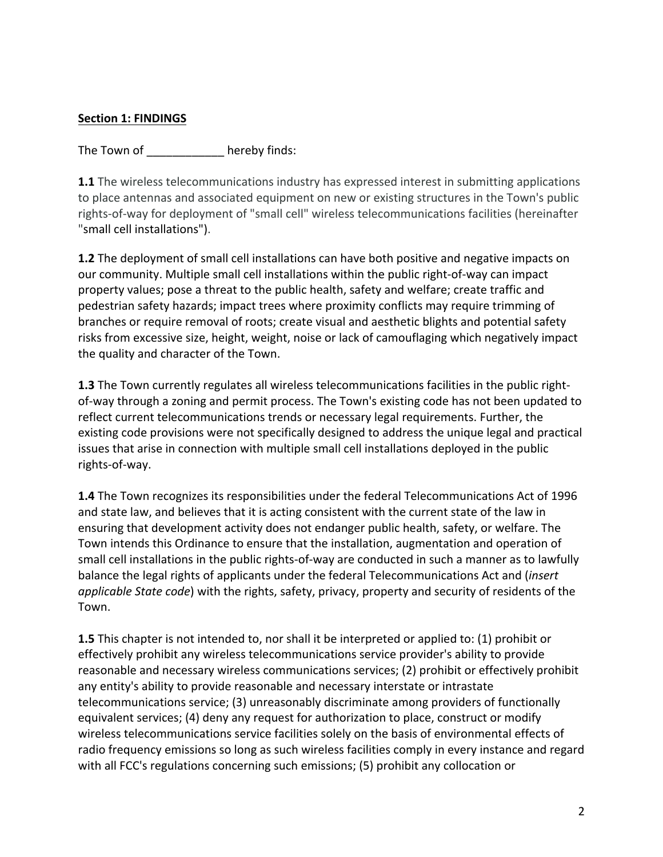# **Section 1: FINDINGS**

The Town of The Town of The Town of

**1.1** The wireless telecommunications industry has expressed interest in submitting applications to place antennas and associated equipment on new or existing structures in the Town's public rights-of-way for deployment of "small cell" wireless telecommunications facilities (hereinafter "small cell installations").

**1.2** The deployment of small cell installations can have both positive and negative impacts on our community. Multiple small cell installations within the public right-of-way can impact property values; pose a threat to the public health, safety and welfare; create traffic and pedestrian safety hazards; impact trees where proximity conflicts may require trimming of branches or require removal of roots; create visual and aesthetic blights and potential safety risks from excessive size, height, weight, noise or lack of camouflaging which negatively impact the quality and character of the Town.

**1.3** The Town currently regulates all wireless telecommunications facilities in the public rightof-way through a zoning and permit process. The Town's existing code has not been updated to reflect current telecommunications trends or necessary legal requirements. Further, the existing code provisions were not specifically designed to address the unique legal and practical issues that arise in connection with multiple small cell installations deployed in the public rights-of-way.

**1.4** The Town recognizes its responsibilities under the federal Telecommunications Act of 1996 and state law, and believes that it is acting consistent with the current state of the law in ensuring that development activity does not endanger public health, safety, or welfare. The Town intends this Ordinance to ensure that the installation, augmentation and operation of small cell installations in the public rights-of-way are conducted in such a manner as to lawfully balance the legal rights of applicants under the federal Telecommunications Act and *(insert*) *applicable State code*) with the rights, safety, privacy, property and security of residents of the Town. 

**1.5** This chapter is not intended to, nor shall it be interpreted or applied to: (1) prohibit or effectively prohibit any wireless telecommunications service provider's ability to provide reasonable and necessary wireless communications services; (2) prohibit or effectively prohibit any entity's ability to provide reasonable and necessary interstate or intrastate telecommunications service; (3) unreasonably discriminate among providers of functionally equivalent services; (4) deny any request for authorization to place, construct or modify wireless telecommunications service facilities solely on the basis of environmental effects of radio frequency emissions so long as such wireless facilities comply in every instance and regard with all FCC's regulations concerning such emissions; (5) prohibit any collocation or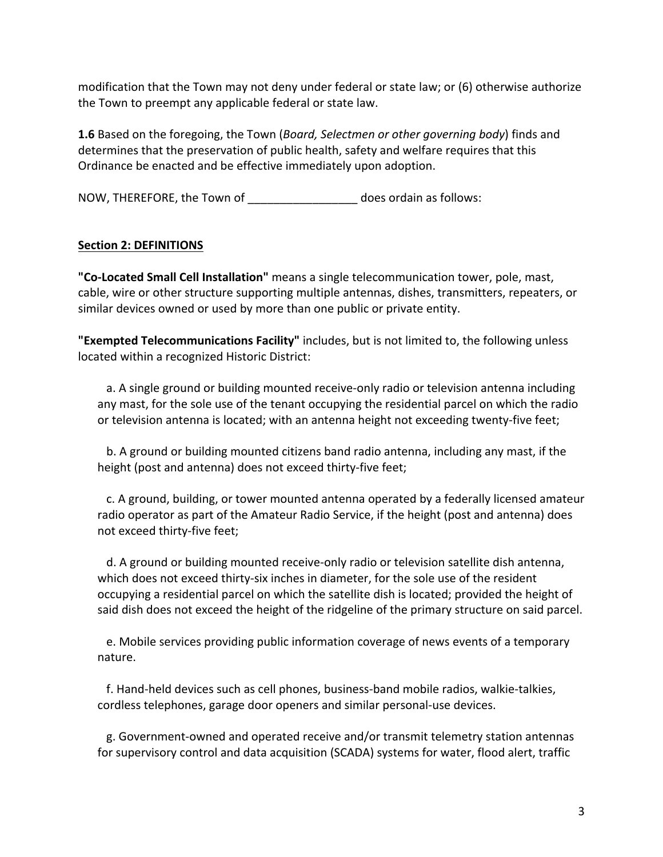modification that the Town may not deny under federal or state law; or (6) otherwise authorize the Town to preempt any applicable federal or state law.

**1.6** Based on the foregoing, the Town (*Board, Selectmen or other governing body*) finds and determines that the preservation of public health, safety and welfare requires that this Ordinance be enacted and be effective immediately upon adoption.

NOW, THEREFORE, the Town of \_\_\_\_\_\_\_\_\_\_\_\_\_\_\_\_\_\_\_\_\_ does ordain as follows:

# **Section 2: DEFINITIONS**

**"Co-Located Small Cell Installation"** means a single telecommunication tower, pole, mast, cable, wire or other structure supporting multiple antennas, dishes, transmitters, repeaters, or similar devices owned or used by more than one public or private entity.

"Exempted Telecommunications Facility" includes, but is not limited to, the following unless located within a recognized Historic District:

a. A single ground or building mounted receive-only radio or television antenna including any mast, for the sole use of the tenant occupying the residential parcel on which the radio or television antenna is located; with an antenna height not exceeding twenty-five feet;

b. A ground or building mounted citizens band radio antenna, including any mast, if the height (post and antenna) does not exceed thirty-five feet;

c. A ground, building, or tower mounted antenna operated by a federally licensed amateur radio operator as part of the Amateur Radio Service, if the height (post and antenna) does not exceed thirty-five feet;

d. A ground or building mounted receive-only radio or television satellite dish antenna, which does not exceed thirty-six inches in diameter, for the sole use of the resident occupying a residential parcel on which the satellite dish is located; provided the height of said dish does not exceed the height of the ridgeline of the primary structure on said parcel.

e. Mobile services providing public information coverage of news events of a temporary nature.

f. Hand-held devices such as cell phones, business-band mobile radios, walkie-talkies, cordless telephones, garage door openers and similar personal-use devices.

g. Government-owned and operated receive and/or transmit telemetry station antennas for supervisory control and data acquisition (SCADA) systems for water, flood alert, traffic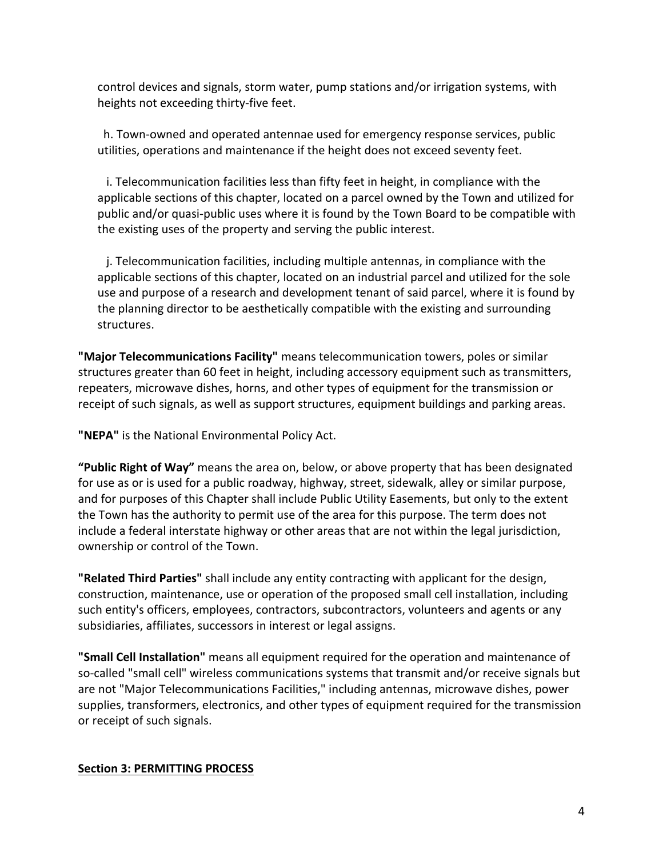control devices and signals, storm water, pump stations and/or irrigation systems, with heights not exceeding thirty-five feet.

h. Town-owned and operated antennae used for emergency response services, public utilities, operations and maintenance if the height does not exceed seventy feet.

i. Telecommunication facilities less than fifty feet in height, in compliance with the applicable sections of this chapter, located on a parcel owned by the Town and utilized for public and/or quasi-public uses where it is found by the Town Board to be compatible with the existing uses of the property and serving the public interest.

j. Telecommunication facilities, including multiple antennas, in compliance with the applicable sections of this chapter, located on an industrial parcel and utilized for the sole use and purpose of a research and development tenant of said parcel, where it is found by the planning director to be aesthetically compatible with the existing and surrounding structures.

"Major Telecommunications Facility" means telecommunication towers, poles or similar structures greater than 60 feet in height, including accessory equipment such as transmitters, repeaters, microwave dishes, horns, and other types of equipment for the transmission or receipt of such signals, as well as support structures, equipment buildings and parking areas.

**"NEPA"** is the National Environmental Policy Act.

**"Public Right of Way"** means the area on, below, or above property that has been designated for use as or is used for a public roadway, highway, street, sidewalk, alley or similar purpose, and for purposes of this Chapter shall include Public Utility Easements, but only to the extent the Town has the authority to permit use of the area for this purpose. The term does not include a federal interstate highway or other areas that are not within the legal jurisdiction, ownership or control of the Town.

**"Related Third Parties"** shall include any entity contracting with applicant for the design, construction, maintenance, use or operation of the proposed small cell installation, including such entity's officers, employees, contractors, subcontractors, volunteers and agents or any subsidiaries, affiliates, successors in interest or legal assigns.

**"Small Cell Installation"** means all equipment required for the operation and maintenance of so-called "small cell" wireless communications systems that transmit and/or receive signals but are not "Major Telecommunications Facilities," including antennas, microwave dishes, power supplies, transformers, electronics, and other types of equipment required for the transmission or receipt of such signals.

## **Section 3: PERMITTING PROCESS**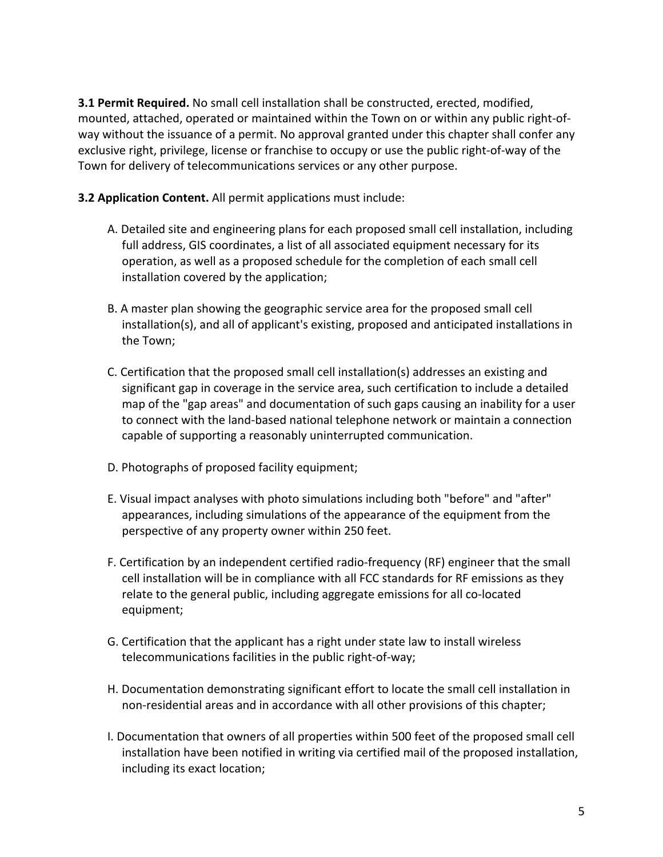**3.1 Permit Required.** No small cell installation shall be constructed, erected, modified, mounted, attached, operated or maintained within the Town on or within any public right-ofway without the issuance of a permit. No approval granted under this chapter shall confer any exclusive right, privilege, license or franchise to occupy or use the public right-of-way of the Town for delivery of telecommunications services or any other purpose.

**3.2 Application Content.** All permit applications must include:

- A. Detailed site and engineering plans for each proposed small cell installation, including full address, GIS coordinates, a list of all associated equipment necessary for its operation, as well as a proposed schedule for the completion of each small cell installation covered by the application;
- B. A master plan showing the geographic service area for the proposed small cell installation(s), and all of applicant's existing, proposed and anticipated installations in the Town:
- C. Certification that the proposed small cell installation(s) addresses an existing and significant gap in coverage in the service area, such certification to include a detailed map of the "gap areas" and documentation of such gaps causing an inability for a user to connect with the land-based national telephone network or maintain a connection capable of supporting a reasonably uninterrupted communication.
- D. Photographs of proposed facility equipment;
- E. Visual impact analyses with photo simulations including both "before" and "after" appearances, including simulations of the appearance of the equipment from the perspective of any property owner within 250 feet.
- F. Certification by an independent certified radio-frequency (RF) engineer that the small cell installation will be in compliance with all FCC standards for RF emissions as they relate to the general public, including aggregate emissions for all co-located equipment;
- G. Certification that the applicant has a right under state law to install wireless telecommunications facilities in the public right-of-way;
- H. Documentation demonstrating significant effort to locate the small cell installation in non-residential areas and in accordance with all other provisions of this chapter;
- I. Documentation that owners of all properties within 500 feet of the proposed small cell installation have been notified in writing via certified mail of the proposed installation, including its exact location;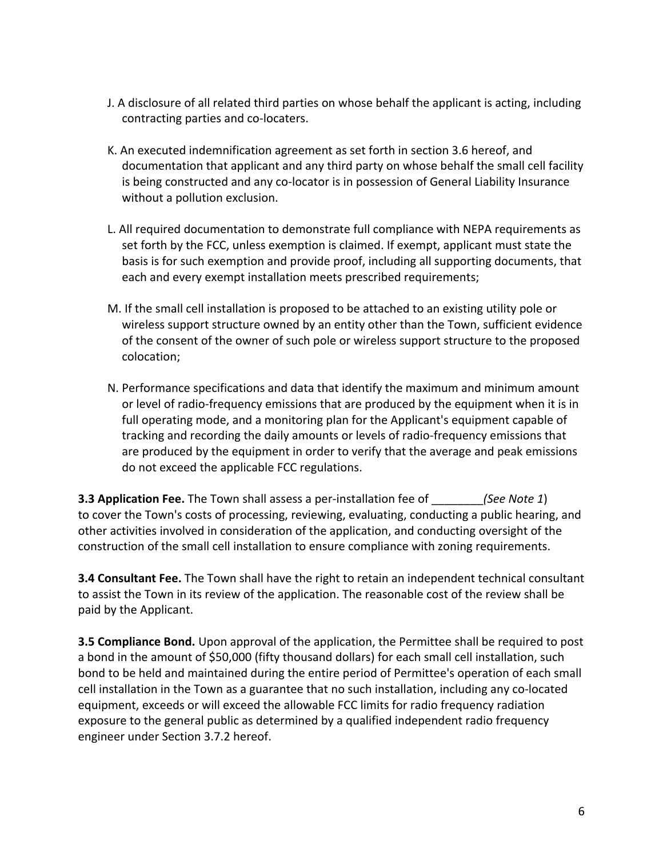- J. A disclosure of all related third parties on whose behalf the applicant is acting, including contracting parties and co-locaters.
- K. An executed indemnification agreement as set forth in section 3.6 hereof, and documentation that applicant and any third party on whose behalf the small cell facility is being constructed and any co-locator is in possession of General Liability Insurance without a pollution exclusion.
- L. All required documentation to demonstrate full compliance with NEPA requirements as set forth by the FCC, unless exemption is claimed. If exempt, applicant must state the basis is for such exemption and provide proof, including all supporting documents, that each and every exempt installation meets prescribed requirements;
- M. If the small cell installation is proposed to be attached to an existing utility pole or wireless support structure owned by an entity other than the Town, sufficient evidence of the consent of the owner of such pole or wireless support structure to the proposed colocation;
- N. Performance specifications and data that identify the maximum and minimum amount or level of radio-frequency emissions that are produced by the equipment when it is in full operating mode, and a monitoring plan for the Applicant's equipment capable of tracking and recording the daily amounts or levels of radio-frequency emissions that are produced by the equipment in order to verify that the average and peak emissions do not exceed the applicable FCC regulations.

**3.3 Application Fee.** The Town shall assess a per-installation fee of *(See Note 1)* to cover the Town's costs of processing, reviewing, evaluating, conducting a public hearing, and other activities involved in consideration of the application, and conducting oversight of the construction of the small cell installation to ensure compliance with zoning requirements.

**3.4 Consultant Fee.** The Town shall have the right to retain an independent technical consultant to assist the Town in its review of the application. The reasonable cost of the review shall be paid by the Applicant.

**3.5 Compliance Bond.** Upon approval of the application, the Permittee shall be required to post a bond in the amount of \$50,000 (fifty thousand dollars) for each small cell installation, such bond to be held and maintained during the entire period of Permittee's operation of each small cell installation in the Town as a guarantee that no such installation, including any co-located equipment, exceeds or will exceed the allowable FCC limits for radio frequency radiation exposure to the general public as determined by a qualified independent radio frequency engineer under Section 3.7.2 hereof.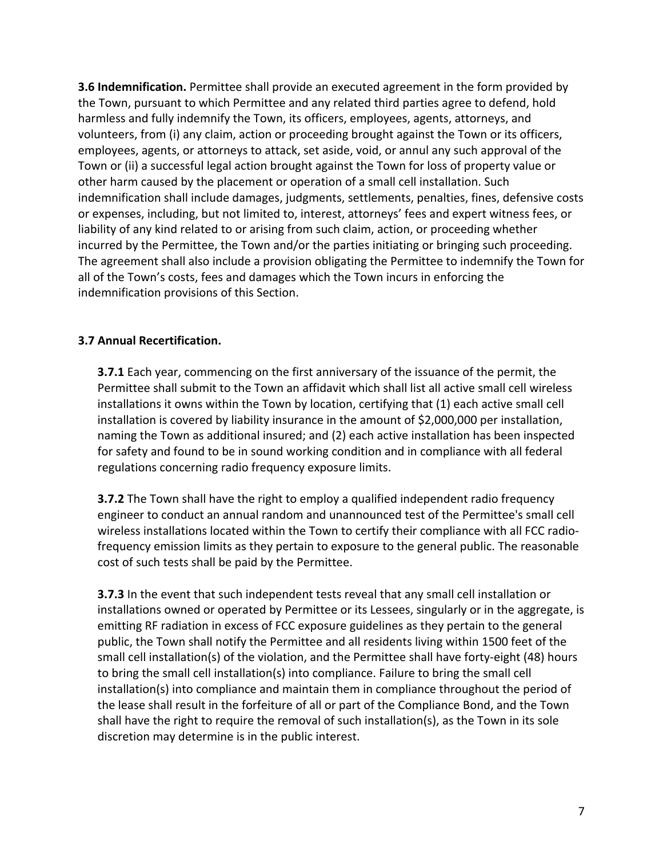**3.6 Indemnification.** Permittee shall provide an executed agreement in the form provided by the Town, pursuant to which Permittee and any related third parties agree to defend, hold harmless and fully indemnify the Town, its officers, employees, agents, attorneys, and volunteers, from (i) any claim, action or proceeding brought against the Town or its officers, employees, agents, or attorneys to attack, set aside, void, or annul any such approval of the Town or (ii) a successful legal action brought against the Town for loss of property value or other harm caused by the placement or operation of a small cell installation. Such indemnification shall include damages, judgments, settlements, penalties, fines, defensive costs or expenses, including, but not limited to, interest, attorneys' fees and expert witness fees, or liability of any kind related to or arising from such claim, action, or proceeding whether incurred by the Permittee, the Town and/or the parties initiating or bringing such proceeding. The agreement shall also include a provision obligating the Permittee to indemnify the Town for all of the Town's costs, fees and damages which the Town incurs in enforcing the indemnification provisions of this Section.

#### **3.7 Annual Recertification.**

**3.7.1** Each year, commencing on the first anniversary of the issuance of the permit, the Permittee shall submit to the Town an affidavit which shall list all active small cell wireless installations it owns within the Town by location, certifying that (1) each active small cell installation is covered by liability insurance in the amount of \$2,000,000 per installation, naming the Town as additional insured; and (2) each active installation has been inspected for safety and found to be in sound working condition and in compliance with all federal regulations concerning radio frequency exposure limits.

**3.7.2** The Town shall have the right to employ a qualified independent radio frequency engineer to conduct an annual random and unannounced test of the Permittee's small cell wireless installations located within the Town to certify their compliance with all FCC radiofrequency emission limits as they pertain to exposure to the general public. The reasonable cost of such tests shall be paid by the Permittee.

**3.7.3** In the event that such independent tests reveal that any small cell installation or installations owned or operated by Permittee or its Lessees, singularly or in the aggregate, is emitting RF radiation in excess of FCC exposure guidelines as they pertain to the general public, the Town shall notify the Permittee and all residents living within 1500 feet of the small cell installation(s) of the violation, and the Permittee shall have forty-eight (48) hours to bring the small cell installation(s) into compliance. Failure to bring the small cell installation(s) into compliance and maintain them in compliance throughout the period of the lease shall result in the forfeiture of all or part of the Compliance Bond, and the Town shall have the right to require the removal of such installation(s), as the Town in its sole discretion may determine is in the public interest.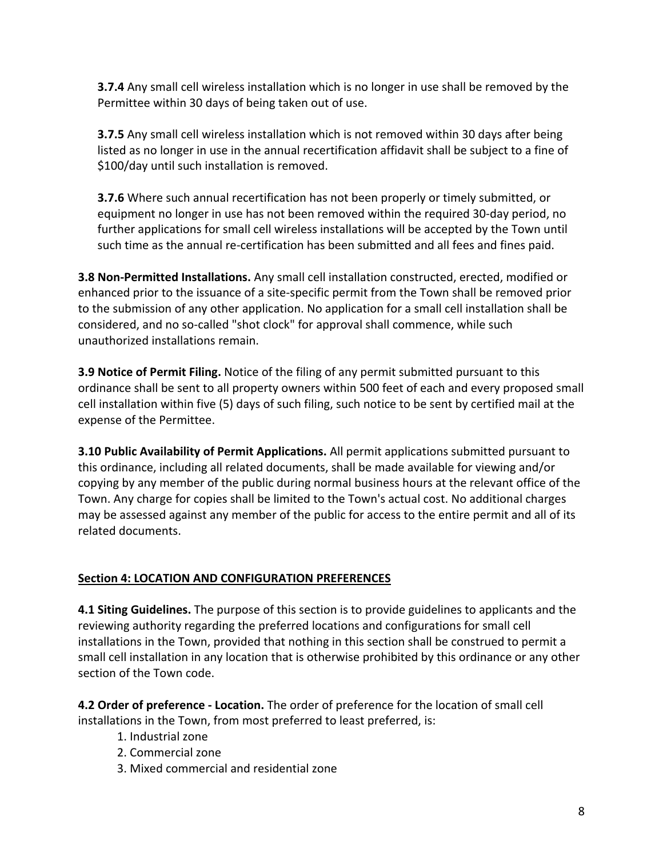**3.7.4** Any small cell wireless installation which is no longer in use shall be removed by the Permittee within 30 days of being taken out of use.

**3.7.5** Any small cell wireless installation which is not removed within 30 days after being listed as no longer in use in the annual recertification affidavit shall be subject to a fine of \$100/day until such installation is removed.

**3.7.6** Where such annual recertification has not been properly or timely submitted, or equipment no longer in use has not been removed within the required 30-day period, no further applications for small cell wireless installations will be accepted by the Town until such time as the annual re-certification has been submitted and all fees and fines paid.

**3.8 Non-Permitted Installations.** Any small cell installation constructed, erected, modified or enhanced prior to the issuance of a site-specific permit from the Town shall be removed prior to the submission of any other application. No application for a small cell installation shall be considered, and no so-called "shot clock" for approval shall commence, while such unauthorized installations remain.

**3.9 Notice of Permit Filing.** Notice of the filing of any permit submitted pursuant to this ordinance shall be sent to all property owners within 500 feet of each and every proposed small cell installation within five (5) days of such filing, such notice to be sent by certified mail at the expense of the Permittee.

**3.10 Public Availability of Permit Applications.** All permit applications submitted pursuant to this ordinance, including all related documents, shall be made available for viewing and/or copying by any member of the public during normal business hours at the relevant office of the Town. Any charge for copies shall be limited to the Town's actual cost. No additional charges may be assessed against any member of the public for access to the entire permit and all of its related documents. 

# **Section 4: LOCATION AND CONFIGURATION PREFERENCES**

**4.1 Siting Guidelines.** The purpose of this section is to provide guidelines to applicants and the reviewing authority regarding the preferred locations and configurations for small cell installations in the Town, provided that nothing in this section shall be construed to permit a small cell installation in any location that is otherwise prohibited by this ordinance or any other section of the Town code.

**4.2 Order of preference - Location.** The order of preference for the location of small cell installations in the Town, from most preferred to least preferred, is:

- 1. Industrial zone
- 2. Commercial zone
- 3. Mixed commercial and residential zone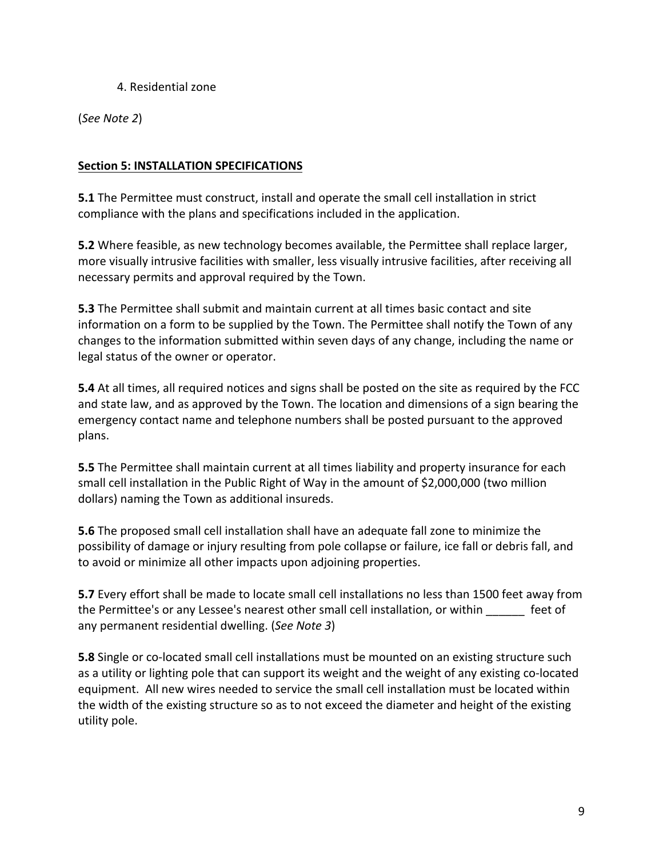## 4. Residential zone

(*See Note 2*)

# **Section 5: INSTALLATION SPECIFICATIONS**

**5.1** The Permittee must construct, install and operate the small cell installation in strict compliance with the plans and specifications included in the application.

**5.2** Where feasible, as new technology becomes available, the Permittee shall replace larger, more visually intrusive facilities with smaller, less visually intrusive facilities, after receiving all necessary permits and approval required by the Town.

**5.3** The Permittee shall submit and maintain current at all times basic contact and site information on a form to be supplied by the Town. The Permittee shall notify the Town of any changes to the information submitted within seven days of any change, including the name or legal status of the owner or operator.

**5.4** At all times, all required notices and signs shall be posted on the site as required by the FCC and state law, and as approved by the Town. The location and dimensions of a sign bearing the emergency contact name and telephone numbers shall be posted pursuant to the approved plans. 

**5.5** The Permittee shall maintain current at all times liability and property insurance for each small cell installation in the Public Right of Way in the amount of \$2,000,000 (two million dollars) naming the Town as additional insureds.

**5.6** The proposed small cell installation shall have an adequate fall zone to minimize the possibility of damage or injury resulting from pole collapse or failure, ice fall or debris fall, and to avoid or minimize all other impacts upon adjoining properties.

**5.7** Every effort shall be made to locate small cell installations no less than 1500 feet away from the Permittee's or any Lessee's nearest other small cell installation, or within \_\_\_\_\_\_ feet of any permanent residential dwelling. (See Note 3)

**5.8** Single or co-located small cell installations must be mounted on an existing structure such as a utility or lighting pole that can support its weight and the weight of any existing co-located equipment. All new wires needed to service the small cell installation must be located within the width of the existing structure so as to not exceed the diameter and height of the existing utility pole.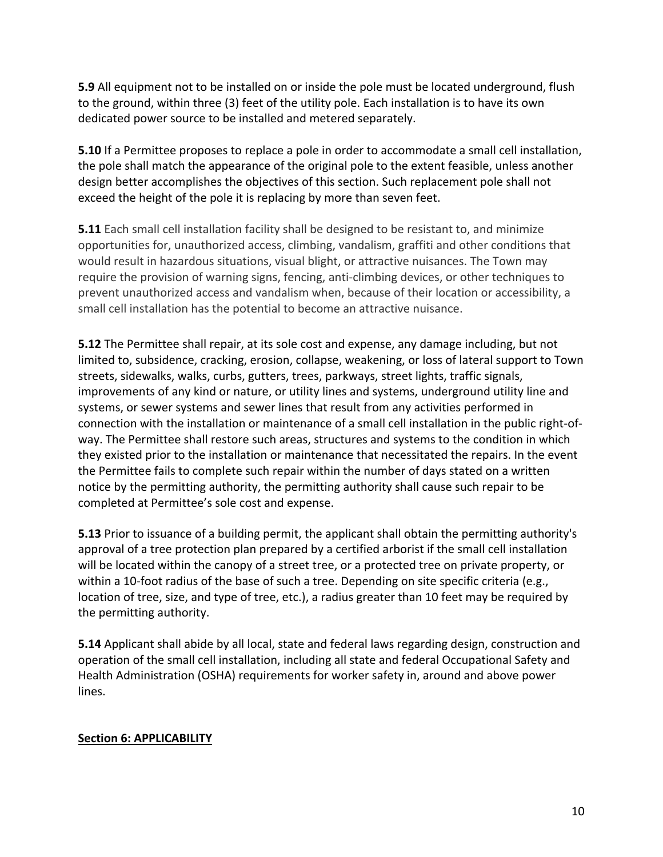**5.9** All equipment not to be installed on or inside the pole must be located underground, flush to the ground, within three (3) feet of the utility pole. Each installation is to have its own dedicated power source to be installed and metered separately.

**5.10** If a Permittee proposes to replace a pole in order to accommodate a small cell installation, the pole shall match the appearance of the original pole to the extent feasible, unless another design better accomplishes the objectives of this section. Such replacement pole shall not exceed the height of the pole it is replacing by more than seven feet.

**5.11** Each small cell installation facility shall be designed to be resistant to, and minimize opportunities for, unauthorized access, climbing, vandalism, graffiti and other conditions that would result in hazardous situations, visual blight, or attractive nuisances. The Town may require the provision of warning signs, fencing, anti-climbing devices, or other techniques to prevent unauthorized access and vandalism when, because of their location or accessibility, a small cell installation has the potential to become an attractive nuisance.

**5.12** The Permittee shall repair, at its sole cost and expense, any damage including, but not limited to, subsidence, cracking, erosion, collapse, weakening, or loss of lateral support to Town streets, sidewalks, walks, curbs, gutters, trees, parkways, street lights, traffic signals, improvements of any kind or nature, or utility lines and systems, underground utility line and systems, or sewer systems and sewer lines that result from any activities performed in connection with the installation or maintenance of a small cell installation in the public right-ofway. The Permittee shall restore such areas, structures and systems to the condition in which they existed prior to the installation or maintenance that necessitated the repairs. In the event the Permittee fails to complete such repair within the number of days stated on a written notice by the permitting authority, the permitting authority shall cause such repair to be completed at Permittee's sole cost and expense.

**5.13** Prior to issuance of a building permit, the applicant shall obtain the permitting authority's approval of a tree protection plan prepared by a certified arborist if the small cell installation will be located within the canopy of a street tree, or a protected tree on private property, or within a 10-foot radius of the base of such a tree. Depending on site specific criteria (e.g., location of tree, size, and type of tree, etc.), a radius greater than 10 feet may be required by the permitting authority.

**5.14** Applicant shall abide by all local, state and federal laws regarding design, construction and operation of the small cell installation, including all state and federal Occupational Safety and Health Administration (OSHA) requirements for worker safety in, around and above power lines. 

## **Section 6: APPLICABILITY**